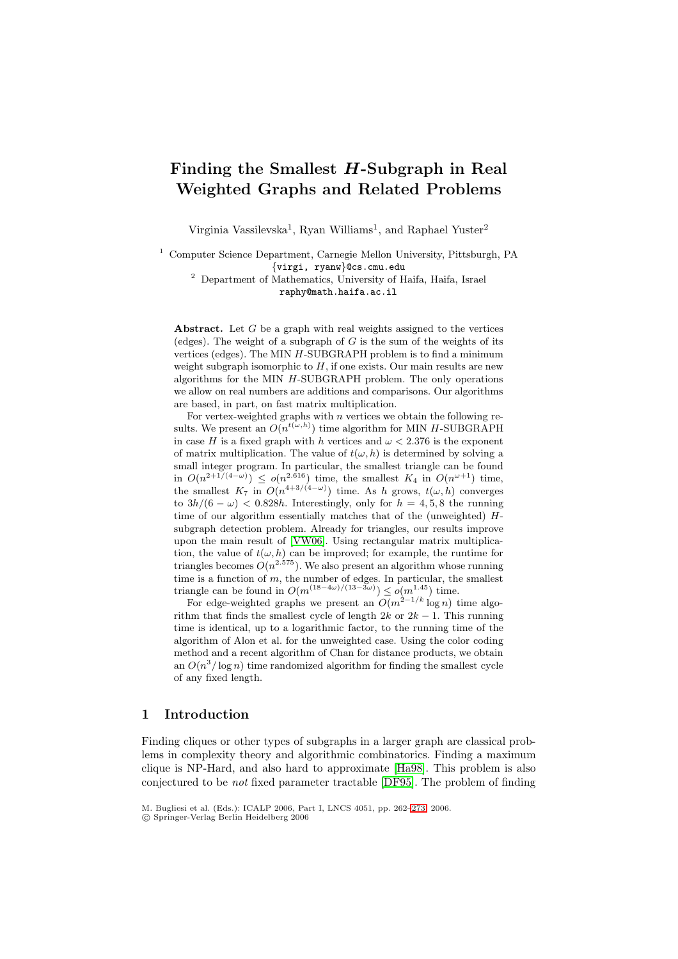# **Finding the Smallest** *H***-Subgraph in Real Weighted Graphs and Related Problems**

Virginia Vassilevska<sup>1</sup>, Ryan Williams<sup>1</sup>, and Raphael Yuster<sup>2</sup>

<sup>1</sup> Computer Science Department, Carnegie Mellon University, Pittsburgh, PA {virgi, ryanw}@cs.cmu.edu <sup>2</sup> Department of Mathematics, University of Haifa, Haifa, Israel

raphy@math.haifa.ac.il

**Abstract.** Let G be a graph with real weights assigned to the vertices (edges). The weight of a subgraph of  $G$  is the sum of the weights of its vertices (edges). The MIN H-SUBGRAPH problem is to find a minimum weight subgraph isomorphic to  $H$ , if one exists. Our main results are new algorithms for the MIN H-SUBGRAPH problem. The only operations we allow on real numbers are additions and comparisons. Our algorithms are based, in part, on fast matrix multiplication.

For vertex-weighted graphs with  $n$  vertices we obtain the following results. We present an  $O(n^{t(\omega, h)})$  time algorithm for MIN H-SUBGRAPH in case H is a fixed graph with h vertices and  $\omega < 2.376$  is the exponent of matrix multiplication. The value of  $t(\omega, h)$  is determined by solving a small integer program. In particular, the smallest triangle can be found in  $O(n^{2+1/(4-\omega)}) \le o(n^{2.616})$  time, the smallest  $K_4$  in  $O(n^{\omega+1})$  time, the smallest  $K_7$  in  $O(n^{4+3/(4-\omega)})$  time. As h grows,  $t(\omega, h)$  converges to  $3h/(6 - \omega) < 0.828h$ . Interestingly, only for  $h = 4, 5, 8$  the running time of our algorithm essentially matches that of the (unweighted)  $H$ subgraph detection problem. Already for triangles, our results improve upon the main result of [VW06]. Using rectangular matrix multiplication, the value of  $t(\omega, h)$  can be improved; for example, the runtime for triangles becomes  $O(n^{2.575})$ . We also present an algorithm whose running time is a function of  $m$ , the number of edges. In particular, the smallest triangle can be found in  $O(m^{(18-4\omega)/(13-3\omega)}) \leq o(m^{1.45})$  time.

For edge-weighted gra[phs](#page-11-0) [we](#page-11-0) present an  $O(m^{\frac{2}{n}-1/k} \log n)$  time algorithm that finds the smallest cycle of length  $2k$  or  $2k - 1$ . This running time is identical, up to a logarithmic factor, to the running time of the algorithm of Alon et al. for the unweighted case. Using the color coding method and a recent algorithm of Chan for distance products, we obtain an  $O(n^3/\log n)$  time randomized algorithm for finding the smallest cycle of any fixed length.

### **1 Introduction**

Finding cliques or other types of subgraphs in a larger graph are classical problems in complexity theory and algorithmic combinatorics. Finding a maximum clique is NP-Hard, and also hard to approximate [Ha98]. This problem is also conjectured to be not fixed parameter tractable [DF95]. The problem of finding

M. Bugliesi et al. (Eds.): ICALP 2006, Part I, LNCS 4051, pp. 262–273, 2006.

<sup>-</sup>c Springer-Verlag Berlin Heidelberg 2006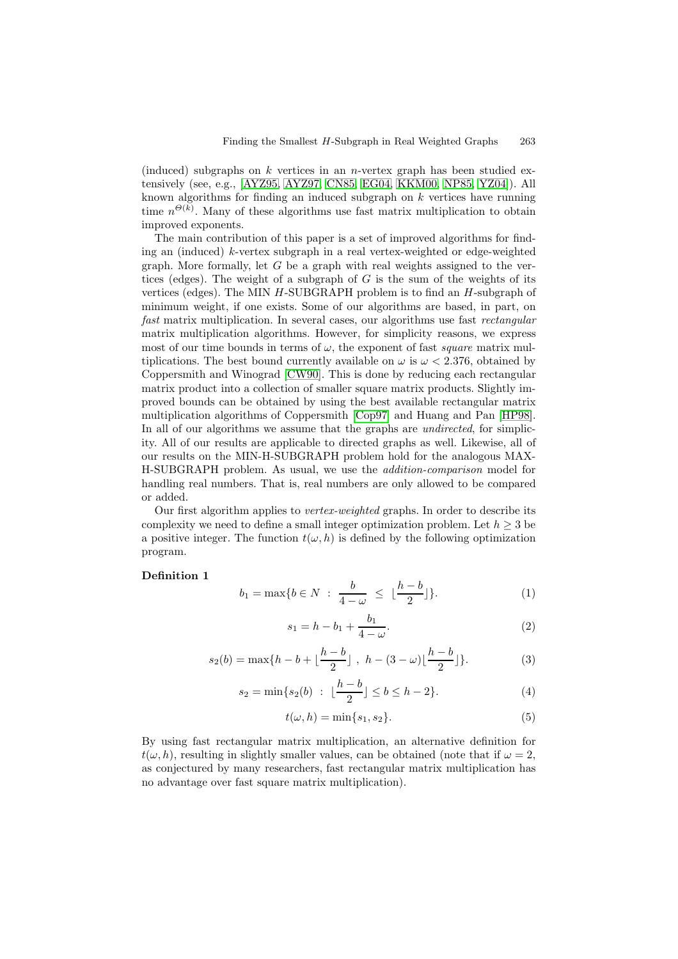(induced) subgraphs on k vertices in an n-vertex graph has been studied extensively (see, e.g., [AYZ95, AYZ97, CN85, EG04, KKM00, NP85, YZ04]). All known algorithms for finding an induced subgraph on  $k$  vertices have running time  $n^{\Theta(k)}$ . Many of these algorithms use fast matrix multiplication to obtain improved exponents.

The main contrib[ution of](#page-10-0) [this pap](#page-11-1)[er is a](#page-11-2) [set of i](#page-11-3)[mproved](#page-11-4) [algorith](#page-11-5)[ms for](#page-11-6) finding an (induced)  $k$ -vertex subgraph in a real vertex-weighted or edge-weighted graph. More formally, let  $G$  be a graph with real weights assigned to the vertices (edges). The weight of a subgraph of  $G$  is the sum of the weights of its vertices (edges). The MIN  $H$ -SUBGRAPH problem is to find an  $H$ -subgraph of minimum weight, if one exists. Some of our algorithms are based, in part, on fast matrix multiplication. In several cases, our algorithms use fast *rectangular* matrix multiplication algorithms. However, for simplicity reasons, we express most of our time bounds in terms of  $\omega$ , the exponent of fast *square* matrix multiplications. The best bound currently available on  $\omega$  is  $\omega < 2.376$ , obtained by Coppersmith and Winograd [CW90]. This is done by reducing each rectangular matrix product into a collection of smaller square matrix products. Slightly improved bounds can be obtained by using the best available rectangular matrix multiplication algorithms of Coppersmith [Cop97] and Huang and Pan [HP98]. In all of our algorithms we [assume](#page-11-7) that the graphs are *undirected*, for simplicity. All of our results are applicable to directed graphs as well. Likewise, all of our results on the MIN-H-SUBGRAPH problem hold for the analogous MAX-H-SUBGRAPH problem. As usual, we us[e the](#page-11-8) addition-comparison m[odel fo](#page-11-9)r handling real numbers. That is, real numbers are only allowed to be compared or added.

Our first algorithm applies to vertex-weighted graphs. In order to describe its complexity we need to define a small integer optimization problem. Let  $h \geq 3$  be a positive integer. The function  $t(\omega, h)$  is defined by the following optimization program.

#### **Definition 1**

$$
b_1 = \max\{b \in N \; : \; \frac{b}{4 - \omega} \; \le \; \lfloor \frac{h - b}{2} \rfloor\}.
$$
 (1)

$$
s_1 = h - b_1 + \frac{b_1}{4 - \omega}.\tag{2}
$$

<span id="page-1-2"></span><span id="page-1-0"></span>
$$
s_2(b) = \max\{h - b + \lfloor \frac{h - b}{2} \rfloor, \ h - (3 - \omega) \lfloor \frac{h - b}{2} \rfloor\}.
$$
 (3)

$$
s_2 = \min\{s_2(b) \ : \ \lfloor \frac{h-b}{2} \rfloor \le b \le h-2\}.
$$
 (4)

$$
t(\omega, h) = \min\{s_1, s_2\}.
$$
\n<sup>(5)</sup>

<span id="page-1-3"></span><span id="page-1-1"></span>By using fast rectangular matrix multiplication, an alternative definition for  $t(\omega, h)$ , resulting in slightly smaller values, can be obtained (note that if  $\omega = 2$ , as conjectured by many researchers, fast rectangular matrix multiplication has no advantage over fast square matrix multiplication).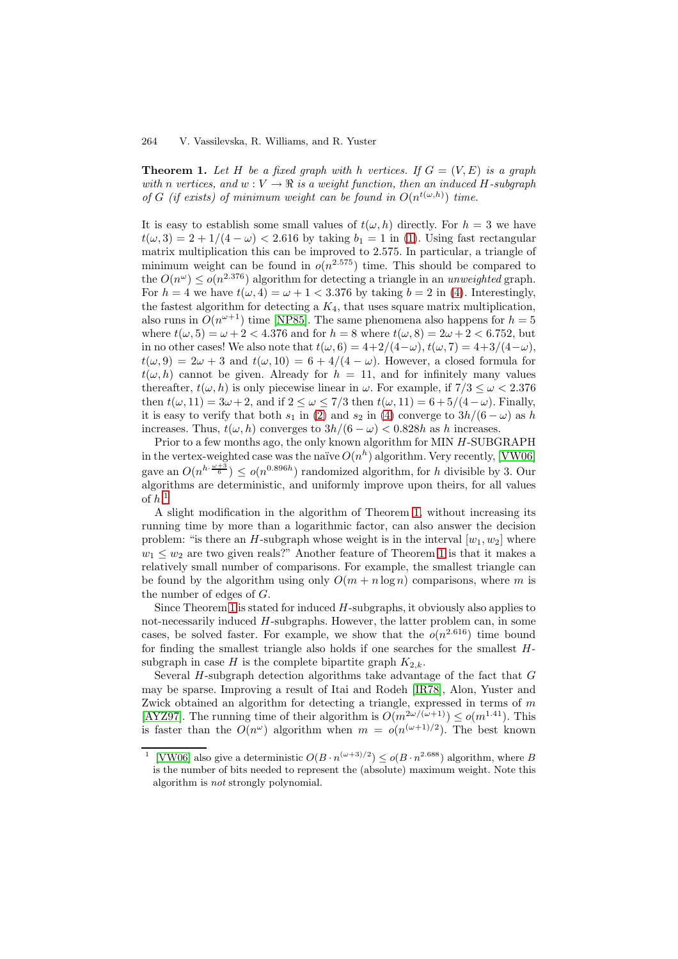**Theorem 1.** Let H be a fixed graph with h vertices. If  $G = (V, E)$  is a graph with n vertices, and  $w : V \to \mathbb{R}$  is a weight function, then an induced H-subgraph of G (if exists) of minimum weight can be found in  $O(n^{t(\omega,h)})$  time.

It is easy to establish some small values of  $t(\omega, h)$  directly. For  $h = 3$  we have  $t(\omega, 3) = 2 + 1/(4 - \omega) < 2.616$  by taking  $b_1 = 1$  in (1). Using fast rectangular matrix multiplication this can be improved to 2.575. In particular, a triangle of minimum weight can be found in  $o(n^{2.575})$  time. This should be compared to the  $O(n^{\omega}) \leq o(n^{2.376})$  algorithm for detecting a triangle in an unweighted graph. For  $h = 4$  we have  $t(\omega, 4) = \omega + 1 < 3.376$  [b](#page-1-0)y taking  $b = 2$  in (4). Interestingly, the fastest algorithm for detecting a  $K_4$ , that uses square matrix multiplication, also runs in  $O(n^{\omega+1})$  time [NP85]. The same phenomena also happens for  $h = 5$ where  $t(\omega, 5) = \omega + 2 < 4.376$  and for  $h = 8$  where  $t(\omega, 8) = 2\omega + 2 < 6.752$ , but in no other cases! We also note that  $t(\omega, 6) = 4+2/(4-\omega)$ ,  $t(\omega, 7) = 4+3/(4-\omega)$  $t(\omega, 7) = 4+3/(4-\omega)$  $t(\omega, 7) = 4+3/(4-\omega)$ ,  $t(\omega, 9) = 2\omega + 3$  and  $t(\omega, 10) = 6 + 4/(4 - \omega)$ . However, a closed formula for  $t(\omega, h)$  cannot be given. [Already](#page-11-5) for  $h = 11$ , and for infinitely many values thereafter,  $t(\omega, h)$  is only piecewise linear in  $\omega$ . For example, if  $7/3 \leq \omega < 2.376$ then  $t(\omega, 11) = 3\omega + 2$ , and if  $2 \leq \omega \leq 7/3$  then  $t(\omega, 11) = 6 + 5/(4 - \omega)$ . Finally, it is easy to verify that both  $s_1$  in (2) and  $s_2$  in (4) converge to  $3h/(6-\omega)$  as h increases. Thus,  $t(\omega, h)$  converges to  $3h/(6 - \omega) < 0.828h$  as h increases.

Prior to a few months ago, the only known algorithm for MIN H-SUBGRAPH in the vertex-weighted case was the naïve  $O(n^h)$  algorithm. Very recently, [VW06] gave an  $O(n^{h \cdot \frac{\omega+3}{6}}) \le o(n^{0.896h})$  ra[nd](#page-1-2)omized algo[rit](#page-1-1)hm, for h divisible by 3. Our algorithms are deterministic, and uniformly improve upon theirs, for all values of  $h.1$ 

A slight modification in the algorithm of Theorem 1, without increa[sing its](#page-11-0) running time by more than a logarithmic factor, can also answer the decision problem: "is there an H-subgraph whose weight is in the interval  $[w_1, w_2]$  where  $w_1 \leq w_2$  are two given reals?" Another feature of Theorem 1 is that it makes a relatively small number of comparisons. For example, [th](#page-1-3)e smallest triangle can be found by the algorithm using only  $O(m + n \log n)$  comparisons, where m is the number of edges of  $G$ .

Since Theorem 1 is stated for induced  $H$ -subgraphs, it obv[iou](#page-1-3)sly also applies to not-necessarily induced H-subgraphs. However, the latter problem can, in some cases, be solved faster. For example, we show that the  $o(n^{2.616})$  time bound for finding the smallest triangle also holds if one searches for the smallest  $H$ -subgraph in case [H](#page-1-3) is the complete bipartite graph  $K_{2,k}$ .

Several  $H$ -subgraph detection algorithms take advantage of the fact that  $G$ may be sparse. Improving a result of Itai and Rodeh [IR78], Alon, Yuster and Zwick obtained an algorithm for detecting a triangle, expressed in terms of  $m$ [AYZ97]. The running time of their algorithm is  $O(m^{2\omega/(\omega+1)}) \le o(m^{1.41})$ . This is faster than the  $O(n^{\omega})$  algorithm when  $m = o(n^{(\omega+1)/2})$ . The best known

<span id="page-2-0"></span><sup>&</sup>lt;sup>1</sup> [VW06] also give a deterministic  $O(B \cdot n^{(\omega+3)/2}) \leq o(B \cdot n^{2.688})$  $O(B \cdot n^{(\omega+3)/2}) \leq o(B \cdot n^{2.688})$  $O(B \cdot n^{(\omega+3)/2}) \leq o(B \cdot n^{2.688})$  algorithm, where B [is the](#page-11-1) number of bits needed to represent the (absolute) maximum weight. Note this algorithm is not strongly polynomial.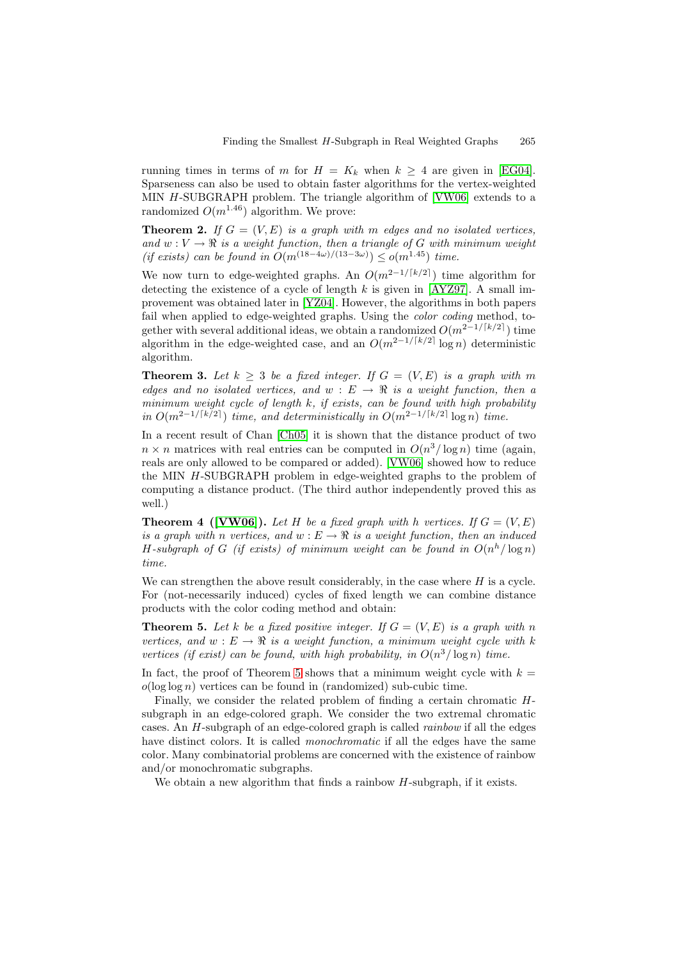running times in terms of m for  $H = K_k$  when  $k \geq 4$  are given in [EG04]. Sparseness can also be used to obtain faster algorithms for the vertex-weighted MIN H-SUBGRAPH problem. The triangle algorithm of [VW06] extends to a randomized  $O(m^{1.46})$  algorithm. We prove:

**Theorem 2.** If  $G = (V, E)$  is a graph with m edges and no isolated [vertices](#page-11-3), and  $w: V \to \mathbb{R}$  is a weight function, then a triangle of G with minimum weight (if exists) can be found in  $O(m^{(18-4\omega)/(13-3\omega)}) \leq o(m^{1.45})$  [time.](#page-11-0)

<span id="page-3-4"></span>We now turn to edge-weighted graphs. An  $O(m^{2-1/[k/2]})$  time algorithm for detecting the existence of a cycle of length  $k$  is given in [AYZ97]. A small improvement was obtained later in [YZ04]. However, the algorithms in both papers fail when applied to edge-weighted graphs. Using the *color coding* method, together with several additional ideas, we obtain a randomized  $O(m^{2-1/[k/2]})$  time algorithm in the edge-weighted case, and an  $O(m^{2-1/\lceil k/2 \rceil} \log n)$  $O(m^{2-1/\lceil k/2 \rceil} \log n)$  $O(m^{2-1/\lceil k/2 \rceil} \log n)$  deterministic algorithm.

**Theorem 3.** Let  $k \geq 3$  be a fixed integer. If  $G = (V, E)$  is a graph with m edges and no isolated vertices, and  $w : E \to \mathbb{R}$  is a weight function, then a minimum weight cycle of length k, if exists, can be found with high probability in  $O(m^{2-1/\lceil k/2 \rceil})$  time, and deterministically in  $O(m^{2-1/\lceil k/2 \rceil} \log n)$  time.

<span id="page-3-2"></span>In a recent result of Chan [Ch05] it is shown that the distance product of two  $n \times n$  matrices with real entries can be computed in  $O(n^3/\log n)$  time (again, reals are only allowed to be compared or added). [VW06] showed how to reduce the MIN H-SUBGRAPH problem in edge-weighted graphs to the problem of computing a distance prod[uct. \(T](#page-11-11)he third author independently proved this as well.)

**Theorem 4 ([VW06]).** Let H be a fixed graph [with](#page-11-0) h vertices. If  $G = (V, E)$ is a graph with n vertices, and  $w : E \to \mathbb{R}$  is a weight function, then an induced H-subgraph of G (if exists) of minimum weight can be found in  $O(n^h/\log n)$ time.

<span id="page-3-3"></span>We can strengt[hen](#page-11-0) [the](#page-11-0) above result considerably, in the case where  $H$  is a cycle. For (not-necessarily induced) cycles of fixed length we can combine distance products with the color coding method and obtain:

**Theorem 5.** Let k be a fixed positive integer. If  $G = (V, E)$  is a graph with n vertices, and  $w : E \to \mathbb{R}$  is a weight function, a minimum weight cycle with k vertices (if exist) can be found, with high probability, in  $O(n^3/\log n)$  time.

<span id="page-3-0"></span>In fact, the proof of Theorem 5 shows that a minimum weight cycle with  $k =$  $o(\log \log n)$  vertices can be found in (randomized) sub-cubic time.

Finally, we consider the related problem of finding a certain chromatic Hsubgraph in an edge-colored graph. We consider the two extremal chromatic cases. An H-subgraph of an e[dge](#page-3-0)-colored graph is called rainbow if all the edges have distinct colors. It is called *monochromatic* if all the edges have the same color. Many combinatorial problems are concerned with the existence of rainbow and/or monochromatic subgraphs.

<span id="page-3-1"></span>We obtain a new algorithm that finds a rainbow  $H$ -subgraph, if it exists.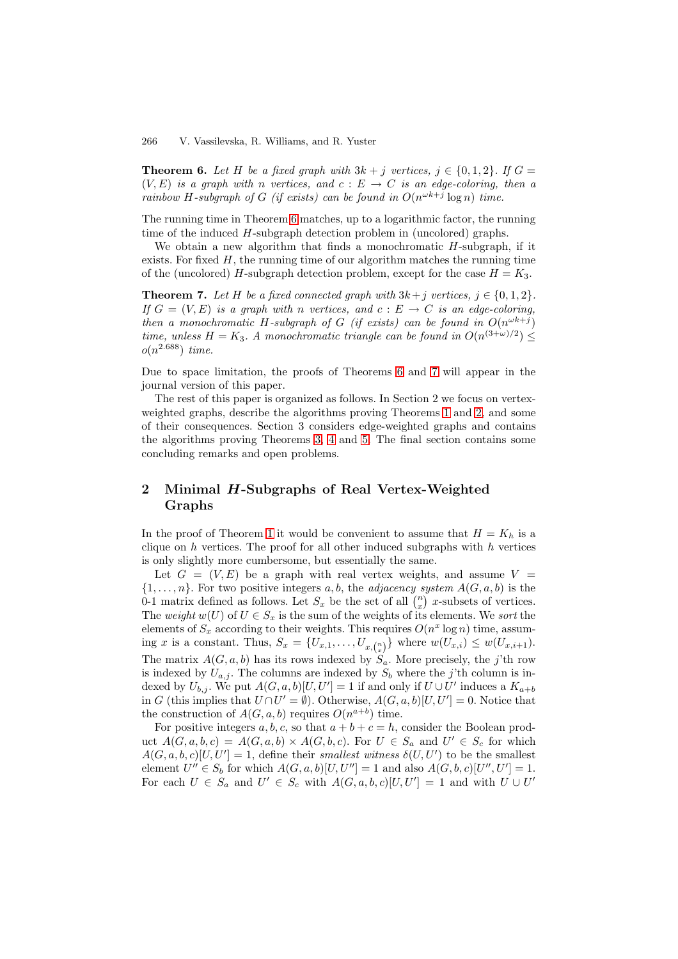**Theorem 6.** Let H be a fixed graph with  $3k + j$  vertices,  $j \in \{0, 1, 2\}$ . If  $G =$  $(V, E)$  is a graph with n vertices, and  $c : E \to C$  is an edge-coloring, then a rainbow H-subgraph of G (if exists) can be found in  $O(n^{\omega k+j} \log n)$  time.

The running time in Theorem 6 matches, up to a logarithmic factor, the running time of the induced H-subgraph detection problem in (uncolored) graphs.

We obtain a new algorithm that finds a monochromatic H-subgraph, if it exists. For fixed  $H$ , the running time of our algorithm matches the running time of the (uncolored) H-subgrap[h d](#page-3-1)etection problem, except for the case  $H = K_3$ .

<span id="page-4-0"></span>**Theorem 7.** Let H be a fixed connected graph with  $3k + j$  vertices,  $j \in \{0, 1, 2\}$ . If  $G = (V, E)$  is a graph with n vertices, and  $c : E \to C$  is an edge-coloring, then a monochromatic H-subgraph of G (if exists) can be found in  $O(n^{\omega k+j})$ time, unless  $H = K_3$ . A monochromatic triangle can be found in  $O(n^{(3+\omega)/2}) \le$  $o(n^{2.688})$  time.

Due to space limitation, the proofs of Theorems 6 and 7 will appear in the journal version of this paper.

The rest of this paper is organized as follows. In Section 2 we focus on vertexweighted graphs, describe the algorithms proving Theorems 1 and 2, and some of their consequences. Section 3 considers edge-w[eig](#page-3-1)hted [g](#page-4-0)raphs and contains the algorithms proving Theorems 3, 4 and 5. The final section contains some concluding remarks and open problems.

## **2 Minimal** *H***-Subgraph[s](#page-3-2) [of](#page-3-3) Re[al](#page-3-0) Vertex-Weighted Graphs**

In the proof of Theorem 1 it would be convenient to assume that  $H = K_h$  is a clique on  $h$  vertices. The proof for all other induced subgraphs with  $h$  vertices is only slightly more cumbersome, but essentially the same.

Let  $G = (V, E)$  be a graph with real vertex weights, and assume  $V =$  $\{1,\ldots,n\}$ . For two posit[ive](#page-1-3) integers a, b, the adjacency system  $A(G, a, b)$  is the 0-1 matrix defined as follows. Let  $S_x$  be the set of all  $\binom{n}{x}$  x-subsets of vertices. The weight  $w(U)$  of  $U \in S_x$  is the sum of the weights of its elements. We sort the elements of  $S_x$  according to their weights. This requires  $O(n^x \log n)$  time, assuming x is a constant. Thus,  $S_x = \{U_{x,1}, \ldots, U_{x,(x)}\}$  where  $w(U_{x,i}) \leq w(U_{x,i+1})$ . The matrix  $A(G, a, b)$  has its rows indexed by  $S_a$ . More precisely, the j'th row is indexed by  $U_{a,j}$ . The columns are indexed by  $S_b$  where the j'th column is indexed by  $U_{b,j}$ . We put  $A(G, a, b)[U, U'] = 1$  if and only if  $U \cup U'$  induces a  $K_{a+b}$ in G (this implies that  $U \cap U' = \emptyset$ ). Otherwise,  $A(G, a, b)[U, U'] = 0$ . Notice that the construction of  $A(G, a, b)$  requires  $O(n^{a+b})$  time.

For positive integers  $a, b, c$ , so that  $a + b + c = h$ , consider the Boolean product  $A(G, a, b, c) = A(G, a, b) \times A(G, b, c)$ . For  $U \in S_a$  and  $U' \in S_c$  for which  $A(G, a, b, c)[U, U'] = 1$ , define their smallest witness  $\delta(U, U')$  to be the smallest element  $U'' \in S_b$  for which  $A(G, a, b)[U, U''] = 1$  and also  $A(G, b, c)[U'', U'] = 1$ . For each  $U \in S_a$  and  $U' \in S_c$  with  $A(G, a, b, c)[U, U'] = 1$  and with  $U \cup U'$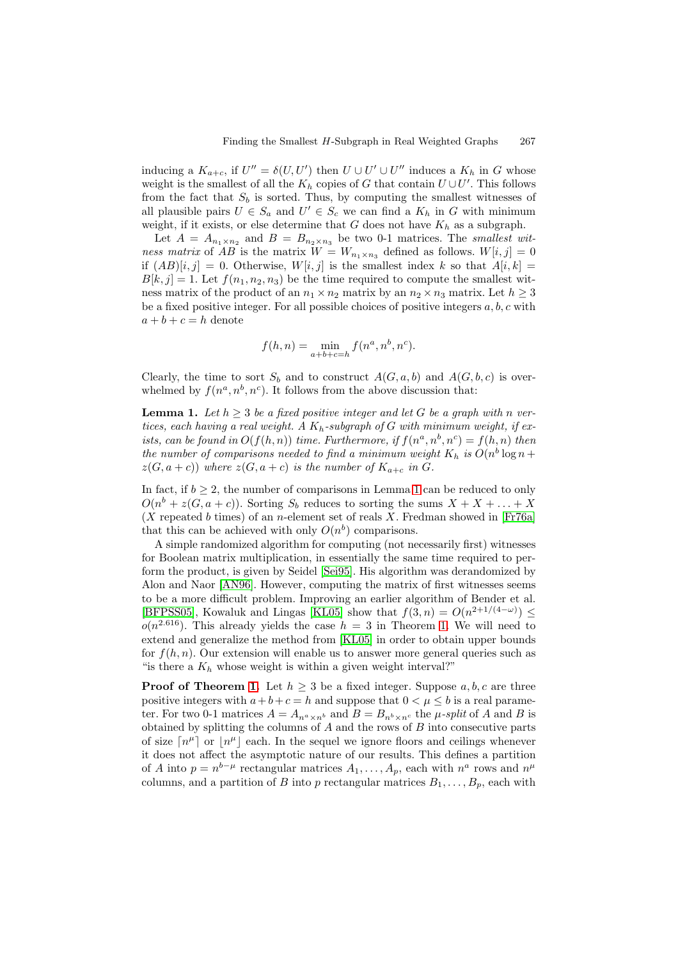inducing a  $K_{a+c}$ , if  $U'' = \delta(U, U')$  then  $U \cup U' \cup U''$  induces a  $K_h$  in G whose weight is the smallest of all the  $K_h$  copies of G that contain  $U\cup U'$ . This follows from the fact that  $S_b$  is sorted. Thus, by computing the smallest witnesses of all plausible pairs  $U \in S_a$  and  $U' \in S_c$  we can find a  $K_h$  in G with minimum weight, if it exists, or else determine that  $G$  does not have  $K_h$  as a subgraph.

Let  $A = A_{n_1 \times n_2}$  and  $B = B_{n_2 \times n_3}$  be two 0-1 matrices. The smallest witness matrix of AB is the matrix  $W = W_{n_1 \times n_3}$  defined as follows.  $W[i, j] = 0$ if  $(AB)[i,j] = 0$ . Otherwise,  $W[i,j]$  is the smallest index k so that  $A[i,k] =$  $B[k,j] = 1.$  Let  $f(n_1, n_2, n_3)$  be the time required to compute the smallest witness matrix of the product of an  $n_1 \times n_2$  matrix by an  $n_2 \times n_3$  matrix. Let  $h \geq 3$ be a fixed positive integer. For all possible choices of positive integers  $a, b, c$  with  $a + b + c = h$  denote

<span id="page-5-0"></span>
$$
f(h, n) = \min_{a+b+c=h} f(n^a, n^b, n^c).
$$

Clearly, the time to sort  $S_b$  and to construct  $A(G, a, b)$  and  $A(G, b, c)$  is overwhelmed by  $f(n^a, n^b, n^c)$ . It follows from the above discussion that:

**Lemma 1.** Let  $h \geq 3$  be a fixed positive integer and let G be a graph with n vertices, each having a real weight. A  $K_h$ -subgraph of G with minimum weight, if exists, can be found in  $O(f(h,n))$  time. Furthermore, if  $f(n^a, n^b, n^c) = f(h,n)$  then the number of comparisons needed to find a minimum weight  $K_h$  is  $O(n^b \log n +$  $z(G, a+c)$ ) where  $z(G, a+c)$  is the number of  $K_{a+c}$  in G.

In fact, if  $b \geq 2$ , the number of comparisons in Lemma 1 can be reduced to only  $O(n^b + z(G, a + c))$ . Sorting  $S_b$  reduces to sorting the sums  $X + X + \ldots + X$  $(X$  repeated b times) of an n-element set of reals X. Fredman showed in [Fr76a] that this can be achieved with only  $O(n^b)$  comparisons.

A simple randomized algorithm for computing (not [nec](#page-5-0)essarily first) witnesses for Boolean matrix multiplication, in essentially the same time required to perform the product, is given by Seidel [Sei95]. His algorithm was derandom[ized by](#page-11-12) Alon and Naor [AN96]. However, computing the matrix of first witnesses seems to be a more difficult problem. Improving an earlier algorithm of Bender et al. [BFPSS05], Kowaluk and Lingas [KL05] show that  $f(3, n) = O(n^{2+1/(4-\omega)}) \le$  $o(n^{2.616})$ . This already yields the c[ase](#page-11-13)  $h = 3$  in Theorem 1. We will need to extend and gen[eralize](#page-10-1) the method from [KL05] in order to obtain upper bounds for  $f(h,n)$ . Our extension will enable us to answer more general queries such as " is there a  $K_h$  whose weight is wi[thin a](#page-11-15) given weight interval?"

**Proof of Theorem 1.** Let  $h \geq 3$  be a fixed integer. Sup[pos](#page-1-3)e  $a, b, c$  are three positive integers with  $a+b+c=h$  and s[uppose](#page-11-15) that  $0 < \mu \leq b$  is a real parameter. For two 0-1 matrices  $A = A_{n^a \times n^b}$  and  $B = B_{n^b \times n^c}$  the  $\mu$ -split of A and B is obtained by splitting the columns of  $A$  and the rows of  $B$  into consecutive parts of size  $\lceil n^{\mu} \rceil$  or  $\lceil n^{\mu} \rceil$  [eac](#page-1-3)h. In the sequel we ignore floors and ceilings whenever it does not affect the asymptotic nature of our results. This defines a partition of A into  $p = n^{b-\mu}$  rectangular matrices  $A_1, \ldots, A_p$ , each with  $n^a$  rows and  $n^{\mu}$ columns, and a partition of B into p rectangular matrices  $B_1, \ldots, B_p$ , each with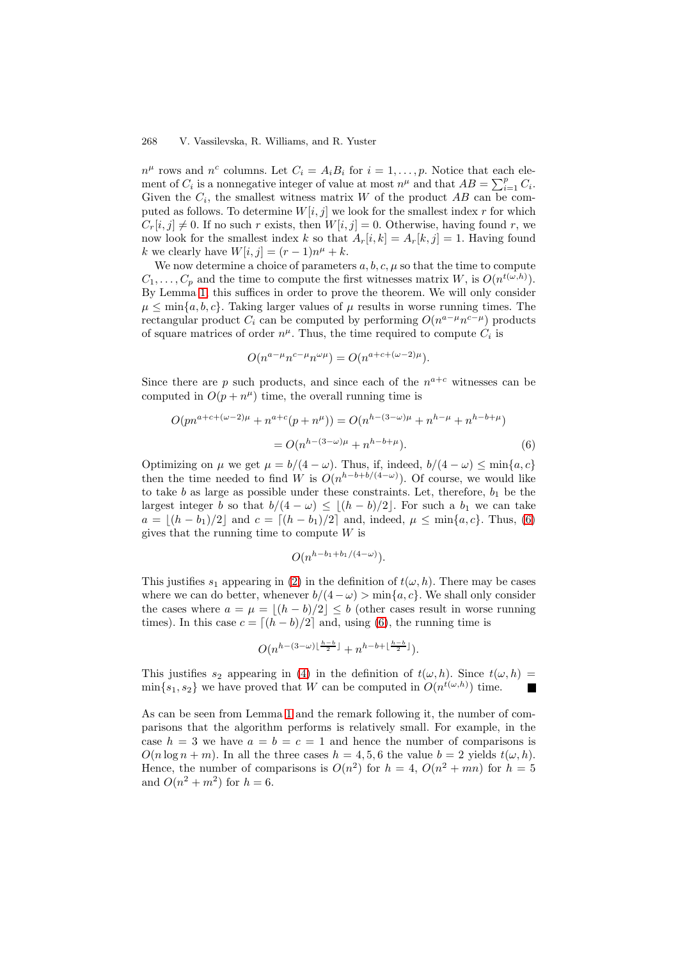#### 268 V. Vassilevska, R. Williams, and R. Yuster

 $n^{\mu}$  rows and  $n^{c}$  columns. Let  $C_{i} = A_{i}B_{i}$  for  $i = 1, ..., p$ . Notice that each element of  $C_i$  is a nonnegative integer of value at most  $n^{\mu}$  and that  $AB = \sum_{i=1}^{p} C_i$ . Given the  $C_i$ , the smallest witness matrix W of the product AB can be computed as follows. To determine  $W[i,j]$  we look for the smallest index r for which  $C_r[i,j] \neq 0$ . If no such r exists, then  $W[i,j] = 0$ . Otherwise, having found r, we now look for the smallest index k so that  $A_r[i,k] = A_r[k,j] = 1$ . Having found k we clearly have  $W[i, j] = (r - 1)n^{\mu} + k$ .

We now determine a choice of parameters  $a, b, c, \mu$  so that the time to compute  $C_1, \ldots, C_p$  and the time to compute the first witnesses matrix W, is  $O(n^{t(\omega, h)})$ . By Lemma 1, this suffices in order to prove the theorem. We will only consider  $\mu \leq \min\{a, b, c\}$ . Taking larger values of  $\mu$  results in worse running times. The rectangular product  $C_i$  can be computed by performing  $O(n^{a-\mu}n^{c-\mu})$  products of square matrices of order  $n^{\mu}$ . Thus, the time required to compute  $C_i$  is

$$
O(n^{a-\mu}n^{c-\mu}n^{\omega\mu}) = O(n^{a+c+(\omega-2)\mu}).
$$

Since there are p such products, and since each of the  $n^{a+c}$  witnesses can be computed in  $O(p + n^{\mu})$  time, the overall running time is

$$
O(pn^{a+c+(\omega-2)\mu} + n^{a+c}(p+n^{\mu})) = O(n^{h-(3-\omega)\mu} + n^{h-\mu} + n^{h-b+\mu})
$$
  
= 
$$
O(n^{h-(3-\omega)\mu} + n^{h-b+\mu}).
$$
 (6)

<span id="page-6-0"></span>Optimizing on  $\mu$  we get  $\mu = b/(4 - \omega)$ . Thus, if, indeed,  $b/(4 - \omega) \le \min\{a, c\}$ then the time needed to find W is  $O(n^{h-b+b/(4-\omega)})$ . Of course, we would like to take  $b$  as large as possible under these constraints. Let, therefore,  $b_1$  be the largest integer b so that  $b/(4 - \omega) \leq \lfloor (h - b)/2 \rfloor$ . For such a  $b_1$  we can take  $a = |(h - b_1)/2|$  and  $c = [(h - b_1)/2]$  and, indeed,  $\mu \le \min\{a, c\}$ . Thus, (6) gives that the running time to compute  $W$  is

$$
O(n^{h-b_1+b_1/(4-\omega)}).
$$

This justifies  $s_1$  appearing in (2) in the definition of  $t(\omega, h)$ . There may be ca[ses](#page-6-0) where we can do better, whenever  $b/(4 - \omega) > \min\{a, c\}$ . We shall only consider the cases where  $a = \mu = |(h - b)/2| \leq b$  (other cases result in worse running times). In this case  $c = \lfloor (h - b)/2 \rfloor$  and, using (6), the running time is

$$
O(n^{h-(3-\omega)\lfloor\frac{h-b}{2}\rfloor}+n^{h-b+\lfloor\frac{h-b}{2}\rfloor}).
$$

This justifies  $s_2$  appearing in (4) in the defin[iti](#page-6-0)on of  $t(\omega, h)$ . Since  $t(\omega, h)$  $\min\{s_1, s_2\}$  we have proved that W can be computed in  $O(n^{t(\omega,h)})$  time.

As can be seen from Lemma 1 and the remark following it, the number of comparisons that the algorithm pe[rfo](#page-1-1)rms is relatively small. For example, in the case  $h = 3$  we have  $a = b = c = 1$  and hence the number of comparisons is  $O(n \log n + m)$ . In all the three cases  $h = 4, 5, 6$  the value  $b = 2$  yields  $t(\omega, h)$ . Hence, the number of comp[ari](#page-5-0)sons is  $O(n^2)$  for  $h = 4$ ,  $O(n^2 + mn)$  for  $h = 5$ and  $O(n^2 + m^2)$  for  $h = 6$ .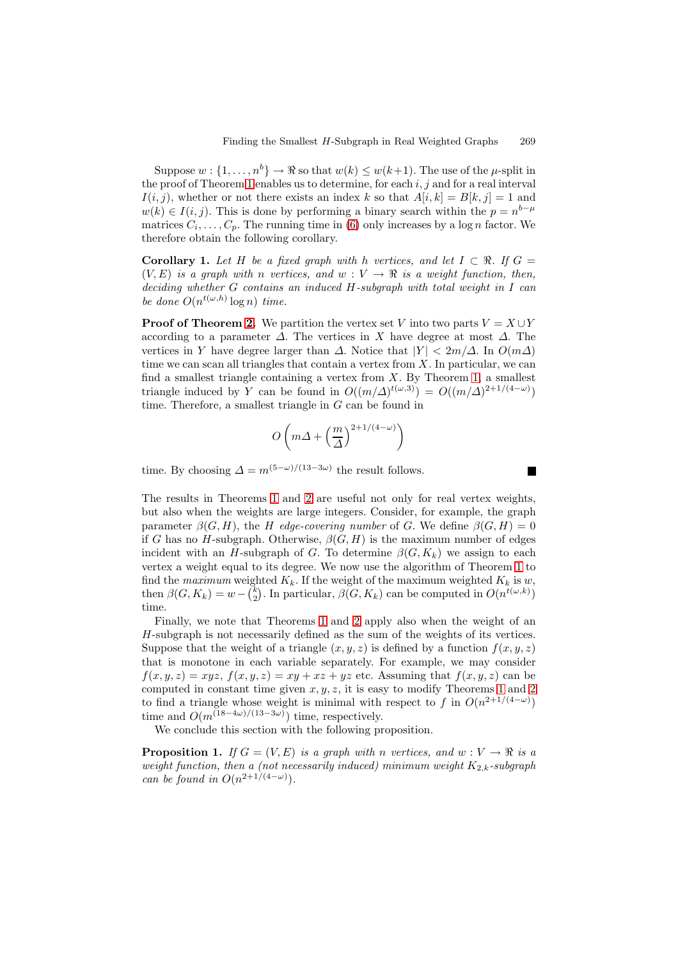Suppose  $w : \{1, \ldots, n^b\} \to \Re$  so that  $w(k) \leq w(k+1)$ . The use of the  $\mu$ -split in the proof of Theorem 1 enables us to determine, for each  $i, j$  and for a real interval  $I(i,j)$ , whether or not there exists an index k so that  $A[i,k] = B[k,j] = 1$  and  $w(k) \in I(i, j)$ . This is done by performing a binary search within the  $p = n^{b-\mu}$ matrices  $C_i, \ldots, C_p$ . The running time in (6) only increases by a log *n* factor. We therefore obtain the [fol](#page-1-3)lowing corollary.

**Corollary 1.** Let H be a fixed graph with h vertices, and let  $I \subset \mathbb{R}$ . If  $G =$  $(V, E)$  is a graph with n vertices, and  $w : V \to \mathbb{R}$  is a weight function, then, deciding whether G contains an induced [H](#page-6-0)-subgraph with total weight in I can be done  $O(n^{t(\omega,h)} \log n)$  time.

**Proof of Theorem 2.** We partition the vertex set V into two parts  $V = X \cup Y$ according to a parameter  $\Delta$ . The vertices in X have degree at most  $\Delta$ . The vertices in Y have degree larger than  $\Delta$ . Notice that  $|Y| < 2m/\Delta$ . In  $O(m\Delta)$ time we can scan all triangles that contain a vertex from  $X$ . In particular, we can find a smallest trian[gle](#page-3-4) containing a vertex from  $X$ . By Theorem 1, a smallest triangle induced by Y can be found in  $O((m/\Delta)^{t(\omega,3)}) = O((m/\Delta)^{2+1/(4-\omega)})$ time. Therefore, a smallest triangle in  $G$  can be found in

$$
O\left(m\Delta + \left(\frac{m}{\Delta}\right)^{2+1/(4-\omega)}\right)
$$

time. By choosing  $\Delta = m^{(5-\omega)/(13-3\omega)}$  the result follows.

The results in Theorems 1 and 2 are useful not only for real vertex weights, but also when the weights are large integers. Consider, for example, the graph parameter  $\beta(G, H)$ , the H edge-covering number of G. We define  $\beta(G, H) = 0$ if G has no H-subgraph. Otherwise,  $\beta(G, H)$  is the maximum number of edges incident with an H-subgr[ap](#page-1-3)h of [G](#page-3-4). To determine  $\beta(G, K_k)$  we assign to each vertex a weight equal to its degree. We now use the algorithm of Theorem 1 to find the maximum weighted  $K_k$ . If the weight of the maximum weighted  $K_k$  is w, then  $\beta(G, K_k) = w - {k \choose 2}$ . In particular,  $\beta(G, K_k)$  can be computed in  $O(n^{t(\omega, k)})$ time.

Finally, we note that Theorems 1 and 2 apply also when the weight [of](#page-1-3) an H-subgraph is not necessarily defined as the sum of the weights of its vertices. Suppose that the weight of a triangle  $(x, y, z)$  is defined by a function  $f(x, y, z)$ that is monotone in each variable separately. For example, we may consider  $f(x, y, z) = xyz$ ,  $f(x, y, z) = xy + xz + yz$  $f(x, y, z) = xy + xz + yz$  $f(x, y, z) = xy + xz + yz$  [et](#page-3-4)c. Assuming that  $f(x, y, z)$  can be computed in constant time given  $x, y, z$ , it is easy to modify Theorems 1 and 2 to find a triangle whose weight is minimal with respect to f in  $O(n^{2+1/(4-\omega)})$ time and  $O(m^{(18-4\omega)/(13-3\omega)})$  time, respectively.

We conclude this section with the following proposition.

**Proposition 1.** If  $G = (V, E)$  is [a](#page-3-4) graph with n vertices, and  $w : V \to \mathbb{R}$  is a weight function, then a (not necessarily induced) minimum weight  $K_{2,k}$ -subgraph can be found in  $O(n^{2+1/(4-\omega)})$ .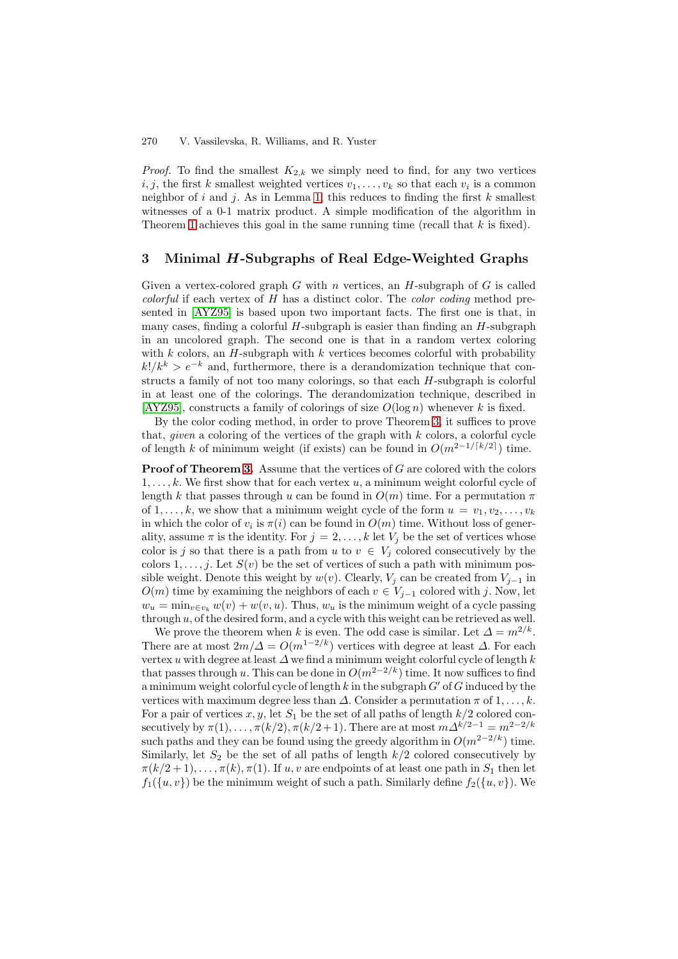#### 270 V. Vassilevska, R. Williams, and R. Yuster

*Proof.* To find the smallest  $K_{2,k}$  we simply need to find, for any two vertices  $i, j$ , the first k smallest weighted vertices  $v_1, \ldots, v_k$  so that each  $v_i$  is a common neighbor of i and j. As in Lemma 1, this reduces to finding the first k smallest witnesses of a 0-1 matrix product. A simple modification of the algorithm in Theorem 1 achieves this goal in the same running time (recall that  $k$  is fixed).

## **3 Minimal** *H***-Subgraph[s](#page-5-0) [o](#page-5-0)f Real Edge-Weighted Graphs**

Given a [ver](#page-1-3)tex-colored graph G with n vertices, an  $H$ -subgraph of G is called *colorful* if each vertex of  $H$  has a distinct color. The *color coding* method presented in [AYZ95] is based upon two important facts. The first one is that, in many cases, finding a colorful  $H$ -subgraph is easier than finding an  $H$ -subgraph in an uncolored graph. The second one is that in a random vertex coloring with  $k$  colors, an  $H$ -subgraph with  $k$  vertices becomes colorful with probability  $k!/k^k > e^{-k}$  [and,](#page-10-0) furthermore, there is a derandomization technique that constructs a family of not too many colorings, so that each H-subgraph is colorful in at least one of the colorings. The derandomization technique, described in  $[AYZ95]$ , constructs a family of colorings of size  $O(\log n)$  whenever k is fixed.

By the color coding method, in order to prove Theorem 3, it suffices to prove that, *given* a coloring of the vertices of the graph with  $k$  colors, a colorful cycle of length k of minimum weight (if exists) can be found in  $O(m^{2-1/[k/2]})$  time.

**[Proof](#page-10-0) [o](#page-10-0)f Theorem 3.** Assume that the vertices of G are colored with the colors  $1,\ldots,k$ . We first show that for each vertex u, a minimum [wei](#page-3-2)ght colorful cycle of length k that passes through u can be found in  $O(m)$  time. For a permutation  $\pi$ of  $1,\ldots,k$ , we show that a minimum weight cycle of the form  $u = v_1, v_2,\ldots,v_k$ in which the color of  $v_i$  $v_i$  is  $\pi(i)$  can be found in  $O(m)$  time. Without loss of generality, assume  $\pi$  is the identity. For  $j = 2, \ldots, k$  let  $V_j$  be the set of vertices whose color is j so that there is a path from u to  $v \in V_j$  colored consecutively by the colors  $1, \ldots, j$ . Let  $S(v)$  be the set of vertices of such a path with minimum possible weight. Denote this weight by  $w(v)$ . Clearly,  $V_j$  can be created from  $V_{j-1}$  in  $O(m)$  time by examining the neighbors of each  $v \in V_{j-1}$  colored with j. Now, let  $w_u = \min_{v \in v_k} w(v) + w(v, u)$ . Thus,  $w_u$  is the minimum weight of a cycle passing through  $u$ , of the desired form, and a cycle with this weight can be retrieved as well.

We prove the theorem when k is even. The odd case is similar. Let  $\Delta = m^{2/k}$ . There are at most  $2m/\Delta = O(m^{1-2/k})$  vertices with degree at least  $\Delta$ . For each vertex u with degree at least  $\Delta$  we find a minimum weight colorful cycle of length k that passes through u. This can be done in  $O(m^{2-2/k})$  time. It now suffices to find a minimum weight colorful cycle of length k in the subgraph  $G'$  of G induced by the vertices with maximum degree less than  $\Delta$ . Consider a permutation  $\pi$  of  $1, \ldots, k$ . For a pair of vertices  $x, y$ , let  $S_1$  be the set of all paths of length  $k/2$  colored consecutively by  $\pi(1), \ldots, \pi(k/2), \pi(k/2+1)$ . There are at most  $m\Delta^{k/2-1} = m^{2-2/k}$ such paths and they can be found using the greedy algorithm in  $O(m^{2-2/k})$  time. Similarly, let  $S_2$  be the set of all paths of length  $k/2$  colored consecutively by  $\pi(k/2+1),\ldots,\pi(k),\pi(1)$ . If u, v are endpoints of at least one path in  $S_1$  then let  $f_1({u,v})$  be the minimum weight of such a path. Similarly define  $f_2({u,v})$ . We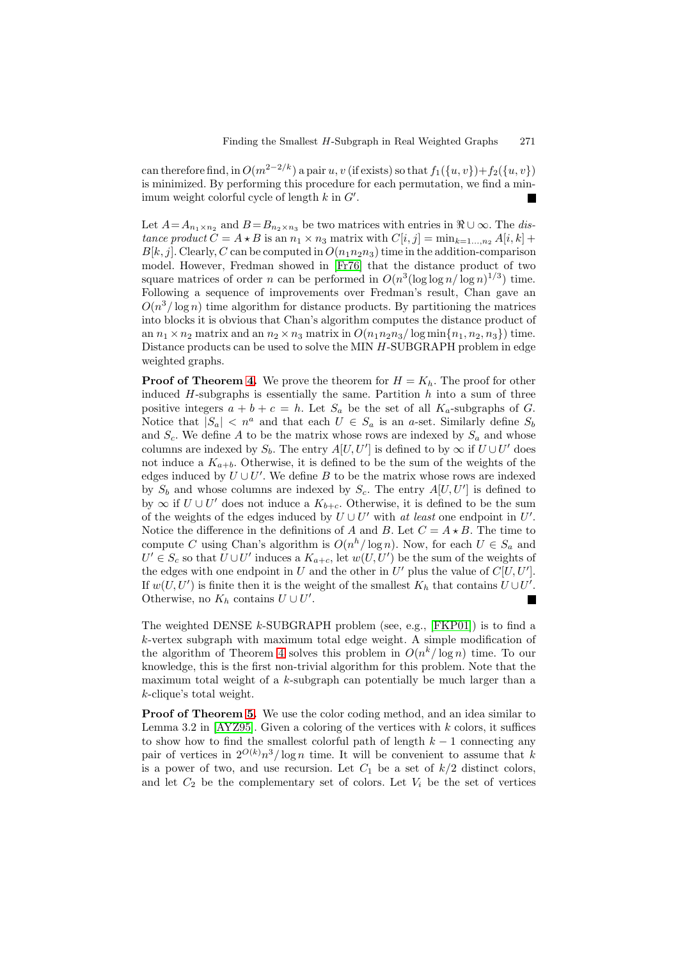can therefore find, in  $O(m^{2-2/k})$  a pair u, v (if exists) so that  $f_1({u,v})+f_2({u,v})$ is minimized. By performing this procedure for each permutation, we find a minimum weight colorful cycle of length  $k$  in  $G'$ .

Let  $A=A_{n_1\times n_2}$  and  $B=B_{n_2\times n_3}$  be two matrices with entries in  $\Re\cup\infty$ . The distance product  $C = A \star B$  is an  $n_1 \times n_3$  matrix with  $C[i, j] = \min_{k=1..., n_2} A[i, k] +$  $B[k,j]$ . Clearly, C can be computed in  $O(n_1n_2n_3)$  time in the addition-comparison model. However, Fredman showed in [Fr76] that the distance product of two square matrices of order n can be performed in  $O(n^3(\log \log n/\log n)^{1/3})$  time. Following a sequence of improvements over Fredman's result, Chan gave an  $O(n^3/\log n)$  time algorithm for distance products. By partitioning the matrices into blocks it is obvious that Chan's alg[orithm](#page-11-16) computes the distance product of an  $n_1 \times n_2$  matrix and an  $n_2 \times n_3$  matrix in  $O(n_1 n_2 n_3 / \log \min\{n_1, n_2, n_3\})$  time. Distance products can be used to solve the MIN H-SUBGRAPH problem in edge weighted graphs.

**Proof of Theorem 4.** We prove the theorem for  $H = K_h$ . The proof for other induced  $H$ -subgraphs is essentially the same. Partition  $h$  into a sum of three positive integers  $a + b + c = h$ . Let  $S_a$  be the set of all  $K_a$ -subgraphs of G. Notice that  $|S_a| < n^a$  and that each  $U \in S_a$  is an a-set. Similarly define  $S_b$ and  $S_c$ . We define A [to](#page-3-3) be the matrix whose rows are indexed by  $S_a$  and whose columns are indexed by  $S_b$ . The entry  $A[U, U']$  is defined to by  $\infty$  if  $U \cup U'$  does not induce a  $K_{a+b}$ . Otherwise, it is defined to be the sum of the weights of the edges induced by  $U \cup U'$ . We define B to be the matrix whose rows are indexed by  $S_b$  and whose columns are indexed by  $S_c$ . The entry  $A[U, U']$  is defined to by  $\infty$  if  $U \cup U'$  does not induce a  $K_{b+c}$ . Otherwise, it is defined to be the sum of the weights of the edges induced by  $U \cup U'$  with at least one endpoint in U'. Notice the difference in the definitions of A and B. Let  $C = A \star B$ . The time to compute C using Chan's algorithm is  $O(n^h/\log n)$ . Now, for each  $U \in S_a$  and  $U' \in S_c$  so that  $U \cup U'$  induces a  $K_{a+c}$ , let  $w(U, U')$  be the sum of the weights of the edges with one endpoint in U and the other in U' plus the value of  $C[U, U']$ . If  $w(U, U')$  is finite then it is the weight of the smallest  $K_h$  that contains  $U \cup U'$ . Otherwise, no  $K_h$  contains  $U \cup U'$ .

The weighted DENSE  $k$ -SUBGRAPH problem (see, e.g., [FKP01]) is to find a  $k$ -vertex subgraph with maximum total edge weight. A simple modification of the algorithm of Theorem 4 solves this problem in  $O(n^k/\log n)$  time. To our knowledge, this is the first non-trivial algorithm for this problem. Note that the maximum total weight of a  $k$ -subgraph can potentially b[e much l](#page-11-17)arger than a k-clique's total weight.

**Proof of Theorem 5.** W[e](#page-3-3) [u](#page-3-3)se the color coding method, and an idea similar to Lemma 3.2 in [AYZ95]. Given a coloring of the vertices with  $k$  colors, it suffices to show how to find the smallest colorful path of length  $k - 1$  connecting any pair of vertices in  $2^{O(k)}n^3/\log n$  time. It will be convenient to assume that k is a power of two, a[nd](#page-3-0) use recursion. Let  $C_1$  be a set of  $k/2$  distinct colors, and let  $C_2$  be [the com](#page-10-0)plementary set of colors. Let  $V_i$  be the set of vertices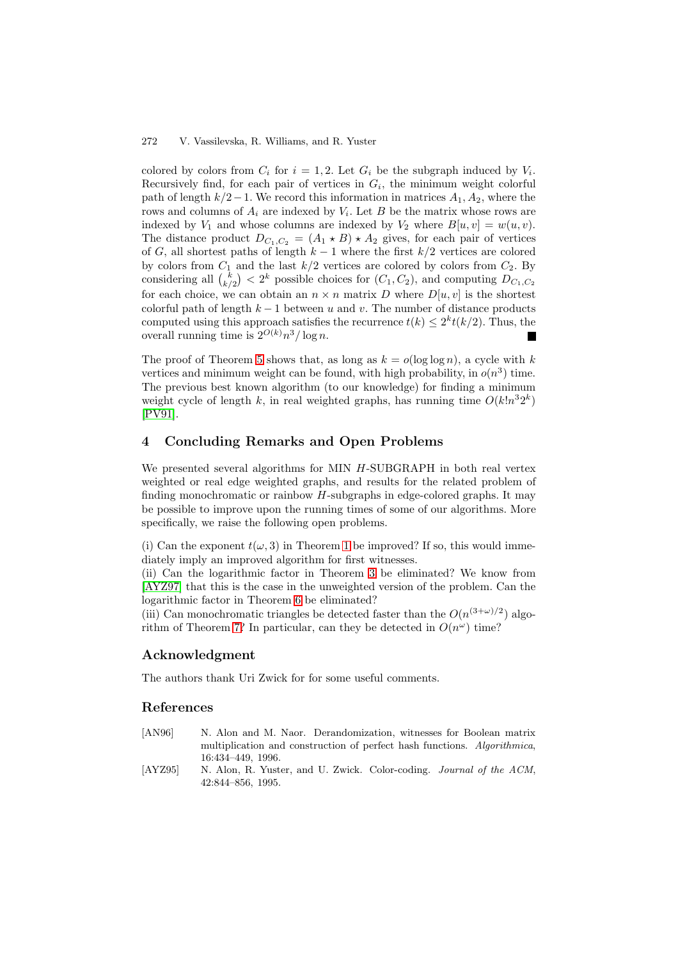#### 272 V. Vassilevska, R. Williams, and R. Yuster

colored by colors from  $C_i$  for  $i = 1, 2$ . Let  $G_i$  be the subgraph induced by  $V_i$ . Recursively find, for each pair of vertices in  $G_i$ , the minimum weight colorful path of length  $k/2-1$ . We record this information in matrices  $A_1, A_2$ , where the rows and columns of  $A_i$  are indexed by  $V_i$ . Let B be the matrix whose rows are indexed by  $V_1$  and whose columns are indexed by  $V_2$  where  $B[u, v] = w(u, v)$ . The distance product  $D_{C_1,C_2} = (A_1 \star B) \star A_2$  gives, for each pair of vertices of G, all shortest paths of length  $k-1$  where the first  $k/2$  vertices are colored by colors from  $C_1$  and the last  $k/2$  vertices are colored by colors from  $C_2$ . By considering all  $\binom{k}{k/2} < 2^k$  possible choices for  $(C_1, C_2)$ , and computing  $D_{C_1, C_2}$ for each choice, we can obtain an  $n \times n$  matrix D where  $D[u, v]$  is the shortest colorful path of length  $k-1$  between u and v. The number of distance products computed using this approach satisfies the recurrence  $t(k) \leq 2^{k}t(k/2)$ . Thus, the overall running time is  $2^{O(k)}n^3/\log n$ .

The proof of Theorem 5 shows that, as long as  $k = o(\log \log n)$ , a cycle with k vertices and minimum weight can be found, with high probability, in  $o(n^3)$  time. The previous best known algorithm (to our knowledge) for finding a minimum weight cycle of length k, in real weighted graphs, has running time  $O(k!n^32^k)$ [PV91].

## **4 Concluding Remarks and Open Problems**

[We pre](#page-11-18)sented several algorithms for MIN H-SUBGRAPH in both real vertex weighted or real edge weighted graphs, and results for the related problem of finding monochromatic or rainbow  $H$ -subgraphs in edge-colored graphs. It may be possible to improve upon the running times of some of our algorithms. More specifically, we raise the following open problems.

(i) Can the exponent  $t(\omega, 3)$  in Theorem 1 be improved? If so, this would immediately imply an improved algorithm for first witnesses.

(ii) Can the logarithmic factor in Theorem 3 be eliminated? We know from [AYZ97] that this is the case in the unweighted version of the problem. Can the logarithmic factor in Theorem 6 be elim[in](#page-1-3)ated?

(iii) Can monochromatic triangles be detected faster than the  $O(n^{(3+\omega)/2})$  algorithm of Theorem 7? In particular, can they [be](#page-3-2) detected in  $O(n^{\omega})$  time?

### **[Ackno](#page-11-1)wledgment**

The authors than[k U](#page-4-0)ri Zwick for for some useful comments.

## **References**

- [AN96] N. Alon and M. Naor. Derandomization, witnesses for Boolean matrix multiplication and construction of perfect hash functions. Algorithmica, 16:434–449, 1996.
- <span id="page-10-1"></span><span id="page-10-0"></span>[AYZ95] N. Alon, R. Yuster, and U. Zwick. Color-coding. Journal of the ACM, 42:844–856, 1995.